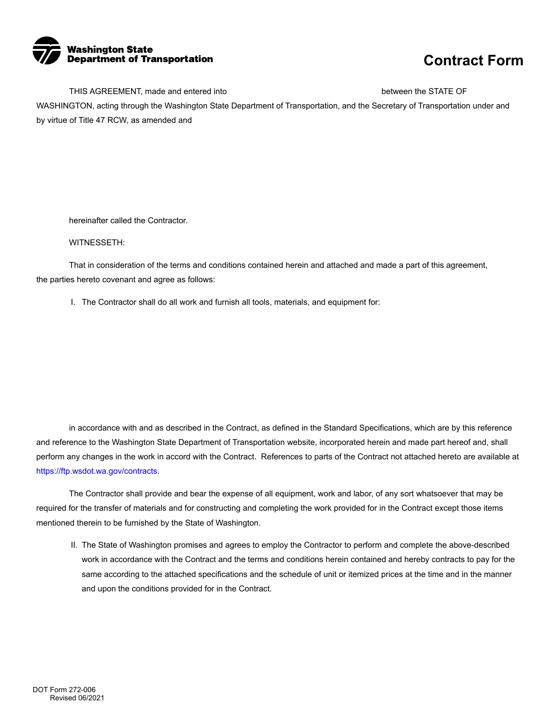

THIS AGREEMENT, made and entered into the state of the state of the STATE OF

WASHINGTON, acting through the Washington State Department of Transportation, and the Secretary of Transportation under and by virtue of Title 47 RCW, as amended and

hereinafter called the Contractor.

WITNESSETH:

That in consideration of the terms and conditions contained herein and attached and made a part of this agreement, the parties hereto covenant and agree as follows:

I. The Contractor shall do all work and furnish all tools, materials, and equipment for:

 in accordance with and as described in the Contract, as defined in the Standard Specifications, which are by this reference and reference to the Washington State Department of Transportation website, incorporated herein and made part hereof and, shall perform any changes in the work in accord with the Contract. References to parts of the Contract not attached hereto are available at <https://ftp.wsdot.wa.gov/contracts>.

The Contractor shall provide and bear the expense of all equipment, work and labor, of any sort whatsoever that may be required for the transfer of materials and for constructing and completing the work provided for in the Contract except those items mentioned therein to be furnished by the State of Washington.

 same according to the attached specifications and the schedule of unit or itemized prices at the time and in the manner II. The State of Washington promises and agrees to employ the Contractor to perform and complete the above-described work in accordance with the Contract and the terms and conditions herein contained and hereby contracts to pay for the and upon the conditions provided for in the Contract.